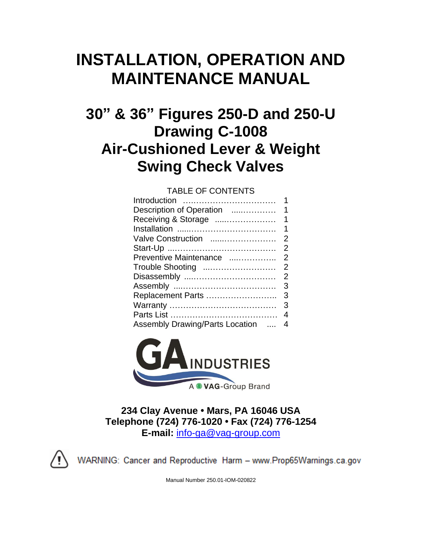# **INSTALLATION, OPERATION AND MAINTENANCE MANUAL**

## **30" & 36" Figures 250-D and 250-U Drawing C-1008 Air-Cushioned Lever & Weight Swing Check Valves**

### TABLE OF CONTENTS

| Introduction                    | 1              |
|---------------------------------|----------------|
| Description of Operation        | 1              |
| Receiving & Storage             | $\mathbf 1$    |
|                                 | 1              |
| Valve Construction              | $\overline{2}$ |
|                                 | 2              |
| Preventive Maintenance          | 2              |
| Trouble Shooting                | 2              |
| Disassembly                     | $\overline{2}$ |
|                                 | 3              |
| Replacement Parts               | 3              |
|                                 | 3              |
|                                 | 4              |
| Assembly Drawing/Parts Location | 4              |
|                                 |                |



**234 Clay Avenue • Mars, PA 16046 USA Telephone (724) 776-1020 • Fax (724) 776-1254 E-mail:** [info-ga@vag-group.com](mailto:info-ga@vag-group.com)



WARNING: Cancer and Reproductive Harm - www.Prop65Warnings.ca.gov

Manual Number 250.01-IOM-020822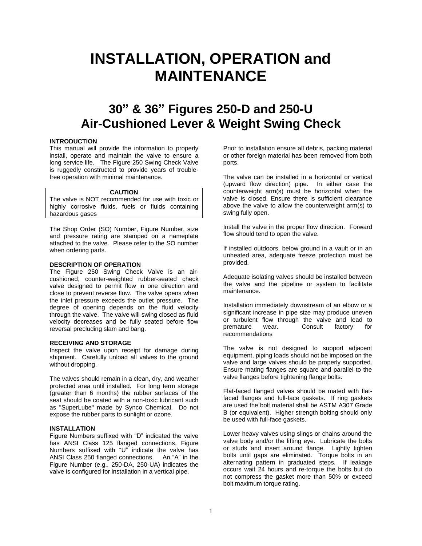## **INSTALLATION, OPERATION and MAINTENANCE**

### **30" & 36" Figures 250-D and 250-U Air-Cushioned Lever & Weight Swing Check**

#### **INTRODUCTION**

This manual will provide the information to properly install, operate and maintain the valve to ensure a long service life. The Figure 250 Swing Check Valve is ruggedly constructed to provide years of troublefree operation with minimal maintenance.

#### **CAUTION**

The valve is NOT recommended for use with toxic or highly corrosive fluids, fuels or fluids containing hazardous gases

The Shop Order (SO) Number, Figure Number, size and pressure rating are stamped on a nameplate attached to the valve. Please refer to the SO number when ordering parts.

#### **DESCRIPTION OF OPERATION**

The Figure 250 Swing Check Valve is an aircushioned, counter-weighted rubber-seated check valve designed to permit flow in one direction and close to prevent reverse flow. The valve opens when the inlet pressure exceeds the outlet pressure. The degree of opening depends on the fluid velocity through the valve. The valve will swing closed as fluid velocity decreases and be fully seated before flow reversal precluding slam and bang.

#### **RECEIVING AND STORAGE**

Inspect the valve upon receipt for damage during shipment. Carefully unload all valves to the ground without dropping.

The valves should remain in a clean, dry, and weather protected area until installed. For long term storage (greater than 6 months) the rubber surfaces of the seat should be coated with a non-toxic lubricant such as "SuperLube" made by Synco Chemical. Do not expose the rubber parts to sunlight or ozone.

#### **INSTALLATION**

Figure Numbers suffixed with "D" indicated the valve has ANSI Class 125 flanged connections, Figure Numbers suffixed with "U" indicate the valve has ANSI Class 250 flanged connections. An "A" in the Figure Number (e.g., 250-DA, 250-UA) indicates the valve is configured for installation in a vertical pipe.

Prior to installation ensure all debris, packing material or other foreign material has been removed from both ports.

The valve can be installed in a horizontal or vertical (upward flow direction) pipe. In either case the counterweight arm(s) must be horizontal when the valve is closed. Ensure there is sufficient clearance above the valve to allow the counterweight arm(s) to swing fully open.

Install the valve in the proper flow direction. Forward flow should tend to open the valve.

If installed outdoors, below ground in a vault or in an unheated area, adequate freeze protection must be provided.

Adequate isolating valves should be installed between the valve and the pipeline or system to facilitate maintenance.

Installation immediately downstream of an elbow or a significant increase in pipe size may produce uneven or turbulent flow through the valve and lead to<br>premature wear. Consult factory for premature wear. Consult factory for recommendations

The valve is not designed to support adjacent equipment, piping loads should not be imposed on the valve and large valves should be properly supported. Ensure mating flanges are square and parallel to the valve flanges before tightening flange bolts.

Flat-faced flanged valves should be mated with flatfaced flanges and full-face gaskets. If ring gaskets are used the bolt material shall be ASTM A307 Grade B (or equivalent). Higher strength bolting should only be used with full-face gaskets.

Lower heavy valves using slings or chains around the valve body and/or the lifting eye. Lubricate the bolts or studs and insert around flange. Lightly tighten bolts until gaps are eliminated. Torque bolts in an alternating pattern in graduated steps. If leakage occurs wait 24 hours and re-torque the bolts but do not compress the gasket more than 50% or exceed bolt maximum torque rating.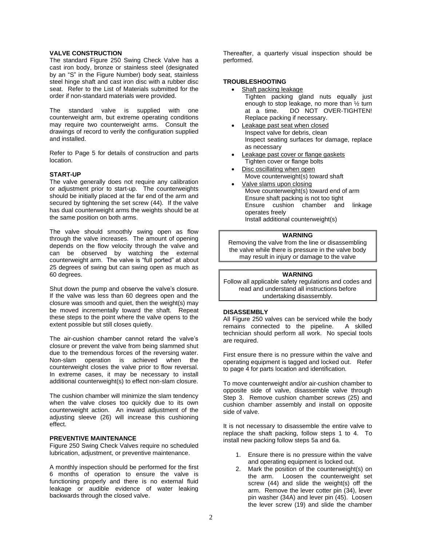#### **VALVE CONSTRUCTION**

The standard Figure 250 Swing Check Valve has a cast iron body, bronze or stainless steel (designated by an "S" in the Figure Number) body seat, stainless steel hinge shaft and cast iron disc with a rubber disc seat. Refer to the List of Materials submitted for the order if non-standard materials were provided.

The standard valve is supplied with one counterweight arm, but extreme operating conditions may require two counterweight arms. Consult the drawings of record to verify the configuration supplied and installed.

Refer to Page 5 for details of construction and parts location.

#### **START-UP**

The valve generally does not require any calibration or adjustment prior to start-up. The counterweights should be initially placed at the far end of the arm and secured by tightening the set screw (44). If the valve has dual counterweight arms the weights should be at the same position on both arms.

The valve should smoothly swing open as flow through the valve increases. The amount of opening depends on the flow velocity through the valve and can be observed by watching the external counterweight arm. The valve is "full ported" at about 25 degrees of swing but can swing open as much as 60 degrees.

Shut down the pump and observe the valve's closure. If the valve was less than 60 degrees open and the closure was smooth and quiet, then the weight(s) may be moved incrementally toward the shaft. Repeat these steps to the point where the valve opens to the extent possible but still closes quietly.

The air-cushion chamber cannot retard the valve's closure or prevent the valve from being slammed shut due to the tremendous forces of the reversing water. Non-slam operation is achieved when the counterweight closes the valve prior to flow reversal. In extreme cases, it may be necessary to install additional counterweight(s) to effect non-slam closure.

The cushion chamber will minimize the slam tendency when the valve closes too quickly due to its own counterweight action. An inward adjustment of the adjusting sleeve (26) will increase this cushioning effect.

#### **PREVENTIVE MAINTENANCE**

Figure 250 Swing Check Valves require no scheduled lubrication, adjustment, or preventive maintenance.

A monthly inspection should be performed for the first 6 months of operation to ensure the valve is functioning properly and there is no external fluid leakage or audible evidence of water leaking backwards through the closed valve.

Thereafter, a quarterly visual inspection should be performed.

#### **TROUBLESHOOTING**

- Shaft packing leakage Tighten packing gland nuts equally just enough to stop leakage, no more than ½ turn at a time. DO NOT OVER-TIGHTEN! Replace packing if necessary.
- Leakage past seat when closed Inspect valve for debris, clean Inspect seating surfaces for damage, replace as necessary
- Leakage past cover or flange gaskets Tighten cover or flange bolts
- Disc oscillating when open Move counterweight(s) toward shaft
- Valve slams upon closing Move counterweight(s) toward end of arm Ensure shaft packing is not too tight Ensure cushion chamber and linkage operates freely Install additional counterweight(s)

#### **WARNING**

Removing the valve from the line or disassembling the valve while there is pressure in the valve body may result in injury or damage to the valve

#### **WARNING**

Follow all applicable safety regulations and codes and read and understand all instructions before undertaking disassembly.

#### **DISASSEMBLY**

All Figure 250 valves can be serviced while the body remains connected to the pipeline. A skilled technician should perform all work. No special tools are required.

First ensure there is no pressure within the valve and operating equipment is tagged and locked out. Refer to page 4 for parts location and identification.

To move counterweight and/or air-cushion chamber to opposite side of valve, disassemble valve through Step 3. Remove cushion chamber screws (25) and cushion chamber assembly and install on opposite side of valve.

It is not necessary to disassemble the entire valve to replace the shaft packing, follow steps 1 to 4. To install new packing follow steps 5a and 6a.

- 1. Ensure there is no pressure within the valve and operating equipment is locked out.
- 2. Mark the position of the counterweight(s) on the arm. Loosen the counterweight set screw (44) and slide the weight(s) off the arm. Remove the lever cotter pin (34), lever pin washer (34A) and lever pin (45). Loosen the lever screw (19) and slide the chamber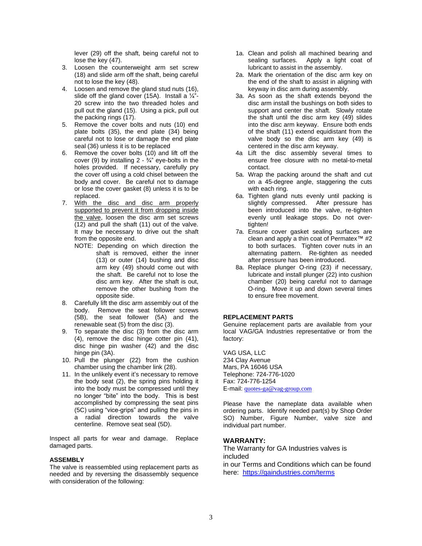lever (29) off the shaft, being careful not to lose the key (47).

- 3. Loosen the counterweight arm set screw (18) and slide arm off the shaft, being careful not to lose the key (48).
- 4. Loosen and remove the gland stud nuts (16), slide off the gland cover (15A). Install a  $\frac{1}{4}$ "-20 screw into the two threaded holes and pull out the gland (15). Using a pick, pull out the packing rings (17).
- 5. Remove the cover bolts and nuts (10) end plate bolts (35), the end plate (34) being careful not to lose or damage the end plate seal (36) unless it is to be replaced
- 6. Remove the cover bolts (10) and lift off the cover (9) by installing  $2 - \frac{3}{4}$  eye-bolts in the holes provided. If necessary, carefully pry the cover off using a cold chisel between the body and cover. Be careful not to damage or lose the cover gasket (8) unless it is to be replaced.
- 7. With the disc and disc arm properly supported to prevent it from dropping inside the valve, loosen the disc arm set screws (12) and pull the shaft (11) out of the valve. It may be necessary to drive out the shaft from the opposite end.
	- NOTE: Depending on which direction the shaft is removed, either the inner (13) or outer (14) bushing and disc arm key (49) should come out with the shaft. Be careful not to lose the disc arm key. After the shaft is out, remove the other bushing from the opposite side.
- 8. Carefully lift the disc arm assembly out of the body. Remove the seat follower screws (5B), the seat follower (5A) and the renewable seat (5) from the disc (3).
- 9. To separate the disc (3) from the disc arm (4), remove the disc hinge cotter pin (41), disc hinge pin washer (42) and the disc hinge pin (3A).
- 10. Pull the plunger (22) from the cushion chamber using the chamber link (28).
- 11. In the unlikely event it's necessary to remove the body seat (2), the spring pins holding it into the body must be compressed until they no longer "bite" into the body. This is best accomplished by compressing the seat pins (5C) using "vice-grips" and pulling the pins in a radial direction towards the valve centerline. Remove seat seal (5D).

Inspect all parts for wear and damage. Replace damaged parts.

#### **ASSEMBLY**

The valve is reassembled using replacement parts as needed and by reversing the disassembly sequence with consideration of the following:

- 1a. Clean and polish all machined bearing and<br>sealing surfaces. Apply a light coat of Apply a light coat of lubricant to assist in the assembly.
- 2a. Mark the orientation of the disc arm key on the end of the shaft to assist in aligning with keyway in disc arm during assembly.
- 3a. As soon as the shaft extends beyond the disc arm install the bushings on both sides to support and center the shaft. Slowly rotate the shaft until the disc arm key (49) slides into the disc arm keyway. Ensure both ends of the shaft (11) extend equidistant from the valve body so the disc arm key (49) is centered in the disc arm keyway.
- 4a Lift the disc assembly several times to ensure free closure with no metal-to-metal contact.
- 5a. Wrap the packing around the shaft and cut on a 45-degree angle, staggering the cuts with each ring.
- 6a. Tighten gland nuts evenly until packing is slightly compressed. After pressure has been introduced into the valve, re-tighten evenly until leakage stops. Do not overtighten!
- 7a. Ensure cover gasket sealing surfaces are clean and apply a thin coat of Permatex™ #2 to both surfaces. Tighten cover nuts in an alternating pattern. Re-tighten as needed after pressure has been introduced.
- 8a. Replace plunger O-ring (23) if necessary, lubricate and install plunger (22) into cushion chamber (20) being careful not to damage O-ring. Move it up and down several times to ensure free movement.

#### **REPLACEMENT PARTS**

Genuine replacement parts are available from your local VAG/GA Industries representative or from the factory:

VAG USA, LLC 234 Clay Avenue Mars, PA 16046 USA Telephone: 724-776-1020 Fax: 724-776-1254 E-mail: [quotes-ga@vag-group.com](mailto:quotes-ga@vag-group.com)

Please have the nameplate data available when ordering parts. Identify needed part(s) by Shop Order SO) Number, Figure Number, valve size and individual part number.

#### **WARRANTY:**

The Warranty for GA Industries valves is included

in our Terms and Conditions which can be found here: <https://gaindustries.com/terms>